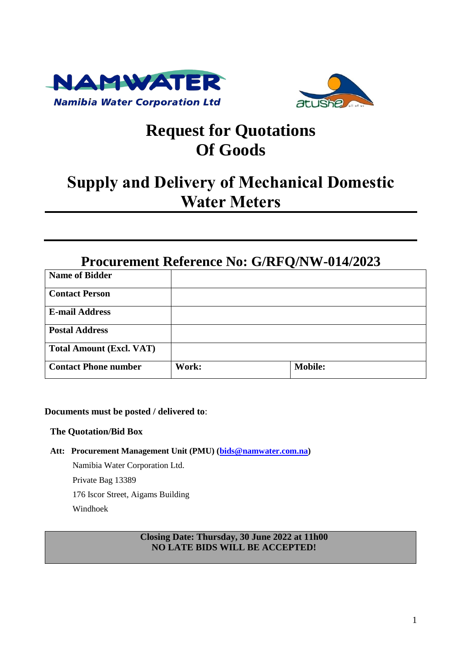



# **Request for Quotations Of Goods**

# **Supply and Delivery of Mechanical Domestic Water Meters**

## **Procurement Reference No: G/RFQ/NW-014/2023**

| <b>Name of Bidder</b>           |       |                |
|---------------------------------|-------|----------------|
| <b>Contact Person</b>           |       |                |
| <b>E-mail Address</b>           |       |                |
| <b>Postal Address</b>           |       |                |
| <b>Total Amount (Excl. VAT)</b> |       |                |
| <b>Contact Phone number</b>     | Work: | <b>Mobile:</b> |

## **Documents must be posted / delivered to**:

#### **The Quotation/Bid Box**

**Att: Procurement Management Unit (PMU) [\(bids@namwater.com.na\)](mailto:bids@namwater.com.na)** 

Namibia Water Corporation Ltd. Private Bag 13389 176 Iscor Street, Aigams Building Windhoek

## **Closing Date: Thursday, 30 June 2022 at 11h00 NO LATE BIDS WILL BE ACCEPTED!**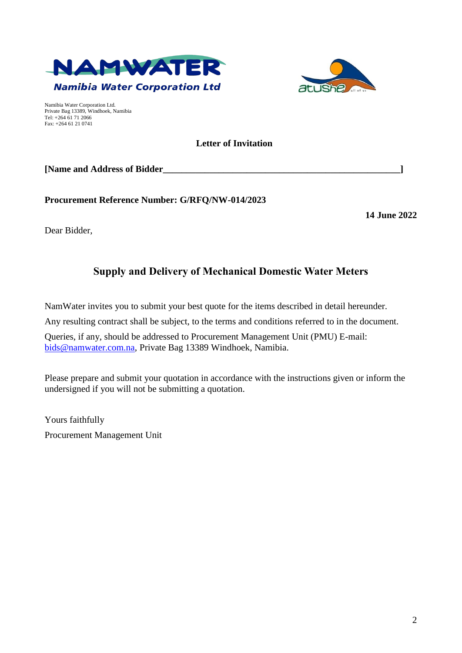



Namibia Water Corporation Ltd. Private Bag 13389, Windhoek, Namibia Tel: +264 61 71 2066 Fax: +264 61 21 0741

## **Letter of Invitation**

**[Name and Address of Bidder\_\_\_\_\_\_\_\_\_\_\_\_\_\_\_\_\_\_\_\_\_\_\_\_\_\_\_\_\_\_\_\_\_\_\_\_\_\_\_\_\_\_\_\_\_\_\_\_\_\_\_]**

**Procurement Reference Number: G/RFQ/NW-014/2023**

**14 June 2022**

Dear Bidder,

## **Supply and Delivery of Mechanical Domestic Water Meters**

NamWater invites you to submit your best quote for the items described in detail hereunder.

Any resulting contract shall be subject, to the terms and conditions referred to in the document.

Queries, if any, should be addressed to Procurement Management Unit (PMU) E-mail: [bids@namwater.com.na,](mailto:bids@namwater.com.na) Private Bag 13389 Windhoek, Namibia.

Please prepare and submit your quotation in accordance with the instructions given or inform the undersigned if you will not be submitting a quotation.

Yours faithfully Procurement Management Unit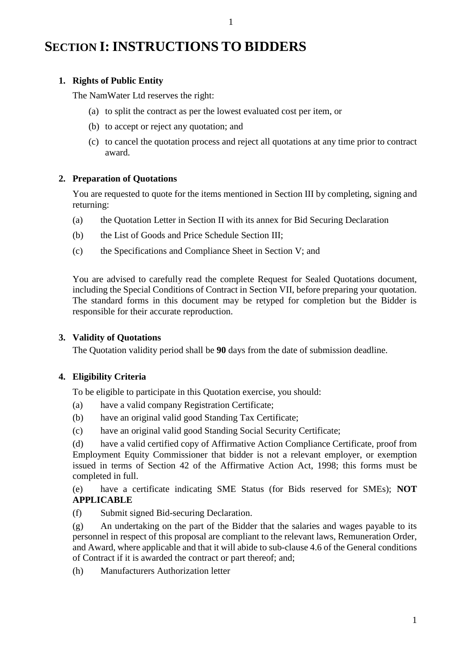## **SECTION I: INSTRUCTIONS TO BIDDERS**

## **1. Rights of Public Entity**

The NamWater Ltd reserves the right:

(a) to split the contract as per the lowest evaluated cost per item, or

1

- (b) to accept or reject any quotation; and
- (c) to cancel the quotation process and reject all quotations at any time prior to contract award.

## **2. Preparation of Quotations**

You are requested to quote for the items mentioned in Section III by completing, signing and returning:

- (a) the Quotation Letter in Section II with its annex for Bid Securing Declaration
- (b) the List of Goods and Price Schedule Section III;
- (c) the Specifications and Compliance Sheet in Section V; and

You are advised to carefully read the complete Request for Sealed Quotations document, including the Special Conditions of Contract in Section VII, before preparing your quotation. The standard forms in this document may be retyped for completion but the Bidder is responsible for their accurate reproduction.

## **3. Validity of Quotations**

The Quotation validity period shall be **90** days from the date of submission deadline.

## **4. Eligibility Criteria**

To be eligible to participate in this Quotation exercise, you should:

- (a) have a valid company Registration Certificate;
- (b) have an original valid good Standing Tax Certificate;
- (c) have an original valid good Standing Social Security Certificate;

(d) have a valid certified copy of Affirmative Action Compliance Certificate, proof from Employment Equity Commissioner that bidder is not a relevant employer, or exemption issued in terms of Section 42 of the Affirmative Action Act, 1998; this forms must be completed in full.

(e) have a certificate indicating SME Status (for Bids reserved for SMEs); **NOT APPLICABLE**

(f) Submit signed Bid-securing Declaration.

(g) An undertaking on the part of the Bidder that the salaries and wages payable to its personnel in respect of this proposal are compliant to the relevant laws, Remuneration Order, and Award, where applicable and that it will abide to sub-clause 4.6 of the General conditions of Contract if it is awarded the contract or part thereof; and;

(h) Manufacturers Authorization letter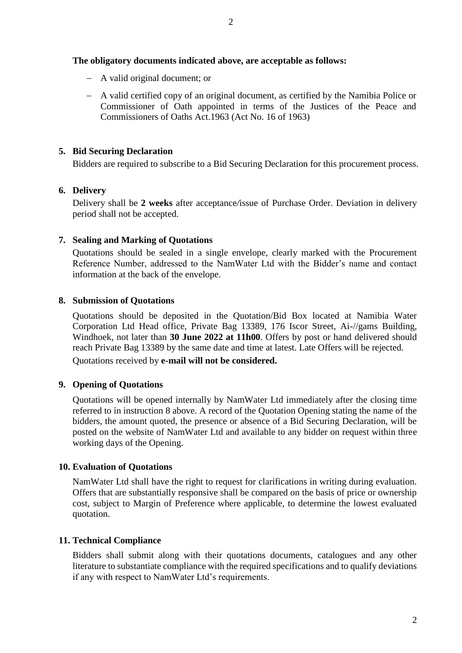### **The obligatory documents indicated above, are acceptable as follows:**

- A valid original document; or
- A valid certified copy of an original document, as certified by the Namibia Police or Commissioner of Oath appointed in terms of the Justices of the Peace and Commissioners of Oaths Act.1963 (Act No. 16 of 1963)

### **5. Bid Securing Declaration**

Bidders are required to subscribe to a Bid Securing Declaration for this procurement process.

## **6. Delivery**

Delivery shall be **2 weeks** after acceptance*/*issue of Purchase Order. Deviation in delivery period shall not be accepted.

## **7. Sealing and Marking of Quotations**

Quotations should be sealed in a single envelope, clearly marked with the Procurement Reference Number, addressed to the NamWater Ltd with the Bidder's name and contact information at the back of the envelope.

### **8. Submission of Quotations**

Quotations should be deposited in the Quotation/Bid Box located at Namibia Water Corporation Ltd Head office, Private Bag 13389, 176 Iscor Street, Ai-//gams Building, Windhoek, not later than **30 June 2022 at 11h00**. Offers by post or hand delivered should reach Private Bag 13389 by the same date and time at latest. Late Offers will be rejected.

Quotations received by **e-mail will not be considered.**

## **9. Opening of Quotations**

Quotations will be opened internally by NamWater Ltd immediately after the closing time referred to in instruction 8 above. A record of the Quotation Opening stating the name of the bidders, the amount quoted, the presence or absence of a Bid Securing Declaration, will be posted on the website of NamWater Ltd and available to any bidder on request within three working days of the Opening.

## **10. Evaluation of Quotations**

NamWater Ltd shall have the right to request for clarifications in writing during evaluation. Offers that are substantially responsive shall be compared on the basis of price or ownership cost, subject to Margin of Preference where applicable, to determine the lowest evaluated quotation.

## **11. Technical Compliance**

Bidders shall submit along with their quotations documents, catalogues and any other literature to substantiate compliance with the required specifications and to qualify deviations if any with respect to NamWater Ltd's requirements.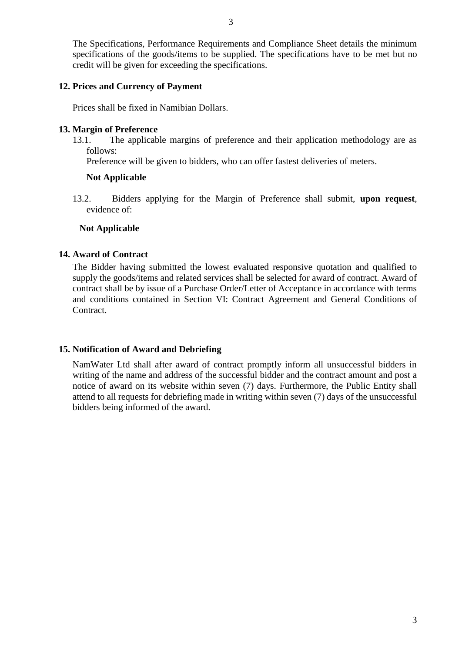The Specifications, Performance Requirements and Compliance Sheet details the minimum specifications of the goods/items to be supplied. The specifications have to be met but no credit will be given for exceeding the specifications.

## **12. Prices and Currency of Payment**

Prices shall be fixed in Namibian Dollars.

### **13. Margin of Preference**

13.1. The applicable margins of preference and their application methodology are as follows:

Preference will be given to bidders, who can offer fastest deliveries of meters.

#### **Not Applicable**

13.2. Bidders applying for the Margin of Preference shall submit, **upon request**, evidence of:

### **Not Applicable**

### **14. Award of Contract**

The Bidder having submitted the lowest evaluated responsive quotation and qualified to supply the goods/items and related services shall be selected for award of contract. Award of contract shall be by issue of a Purchase Order/Letter of Acceptance in accordance with terms and conditions contained in Section VI: Contract Agreement and General Conditions of Contract.

## **15. Notification of Award and Debriefing**

NamWater Ltd shall after award of contract promptly inform all unsuccessful bidders in writing of the name and address of the successful bidder and the contract amount and post a notice of award on its website within seven (7) days. Furthermore, the Public Entity shall attend to all requests for debriefing made in writing within seven (7) days of the unsuccessful bidders being informed of the award.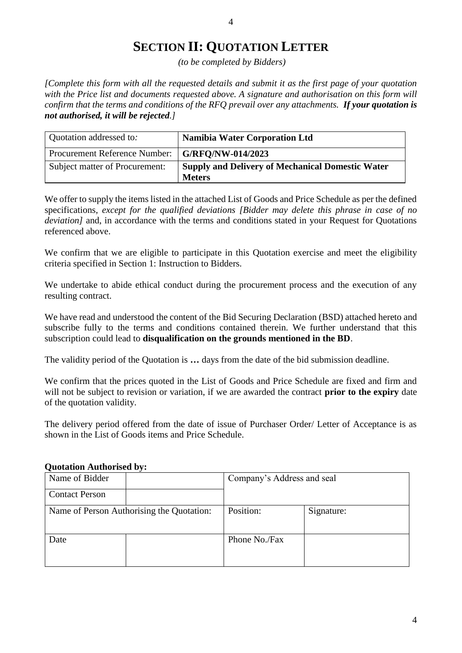## **SECTION II: QUOTATION LETTER**

*(to be completed by Bidders)*

*[Complete this form with all the requested details and submit it as the first page of your quotation with the Price list and documents requested above. A signature and authorisation on this form will confirm that the terms and conditions of the RFQ prevail over any attachments. If your quotation is not authorised, it will be rejected.]*

| Quotation addressed to:        | <b>Namibia Water Corporation Ltd</b>                                     |
|--------------------------------|--------------------------------------------------------------------------|
| Procurement Reference Number:  | G/RFO/NW-014/2023                                                        |
| Subject matter of Procurement: | <b>Supply and Delivery of Mechanical Domestic Water</b><br><b>Meters</b> |

We offer to supply the items listed in the attached List of Goods and Price Schedule as per the defined specifications, *except for the qualified deviations [Bidder may delete this phrase in case of no deviation]* and, in accordance with the terms and conditions stated in your Request for Quotations referenced above.

We confirm that we are eligible to participate in this Quotation exercise and meet the eligibility criteria specified in Section 1: Instruction to Bidders.

We undertake to abide ethical conduct during the procurement process and the execution of any resulting contract.

We have read and understood the content of the Bid Securing Declaration (BSD) attached hereto and subscribe fully to the terms and conditions contained therein. We further understand that this subscription could lead to **disqualification on the grounds mentioned in the BD**.

The validity period of the Quotation is **…** days from the date of the bid submission deadline.

We confirm that the prices quoted in the List of Goods and Price Schedule are fixed and firm and will not be subject to revision or variation, if we are awarded the contract **prior to the expiry** date of the quotation validity.

The delivery period offered from the date of issue of Purchaser Order/ Letter of Acceptance is as shown in the List of Goods items and Price Schedule.

| Name of Bidder        |                                           | Company's Address and seal |  |  |
|-----------------------|-------------------------------------------|----------------------------|--|--|
| <b>Contact Person</b> |                                           |                            |  |  |
|                       | Name of Person Authorising the Quotation: | Position:<br>Signature:    |  |  |
| Date                  |                                           | Phone No./Fax              |  |  |

#### **Quotation Authorised by:**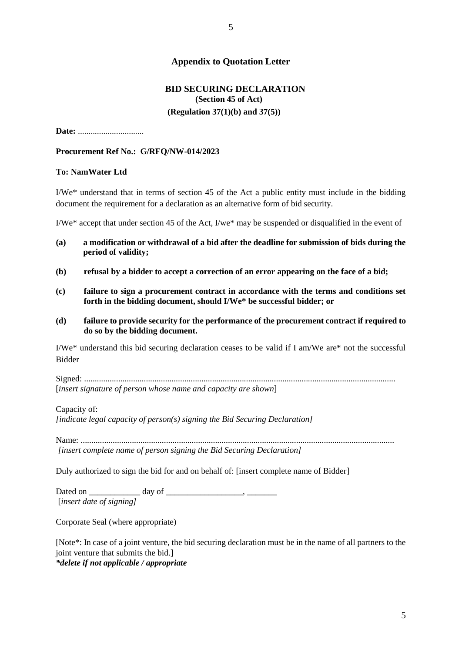### **Appendix to Quotation Letter**

## **BID SECURING DECLARATION (Section 45 of Act) (Regulation 37(1)(b) and 37(5))**

**Date:** ........*.......................*

#### **Procurement Ref No.: G/RFQ/NW-014/2023**

#### **To: NamWater Ltd**

I/We\* understand that in terms of section 45 of the Act a public entity must include in the bidding document the requirement for a declaration as an alternative form of bid security.

I/We\* accept that under section 45 of the Act, I/we\* may be suspended or disqualified in the event of

- **(a) a modification or withdrawal of a bid after the deadline for submission of bids during the period of validity;**
- **(b) refusal by a bidder to accept a correction of an error appearing on the face of a bid;**
- **(c) failure to sign a procurement contract in accordance with the terms and conditions set forth in the bidding document, should I/We\* be successful bidder; or**
- **(d) failure to provide security for the performance of the procurement contract if required to do so by the bidding document.**

I/We\* understand this bid securing declaration ceases to be valid if I am/We are\* not the successful Bidder

Signed: .................................................................................................................................................. [*insert signature of person whose name and capacity are shown*]

Capacity of:

*[indicate legal capacity of person(s) signing the Bid Securing Declaration]*

Name: ................................................................................................................................................... *[insert complete name of person signing the Bid Securing Declaration]*

Duly authorized to sign the bid for and on behalf of: [insert complete name of Bidder]

Dated on \_\_\_\_\_\_\_\_\_\_\_\_ day of \_\_\_\_\_\_\_\_\_\_\_\_\_\_\_\_\_\_, \_\_\_\_\_\_\_ [*insert date of signing]*

Corporate Seal (where appropriate)

[Note\*: In case of a joint venture, the bid securing declaration must be in the name of all partners to the joint venture that submits the bid.] *\*delete if not applicable / appropriate*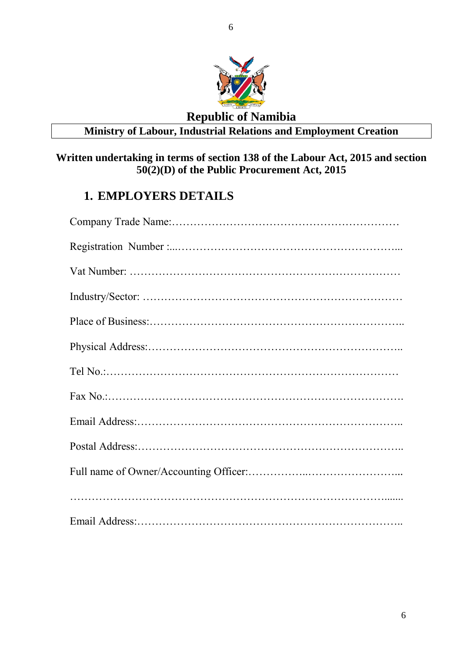

## **Republic of Namibia Ministry of Labour, Industrial Relations and Employment Creation**

## **Written undertaking in terms of section 138 of the Labour Act, 2015 and section 50(2)(D) of the Public Procurement Act, 2015**

## **1. EMPLOYERS DETAILS**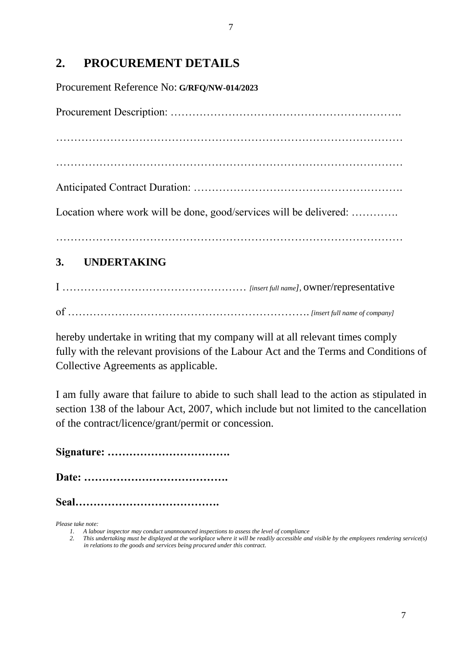## **2. PROCUREMENT DETAILS**

Procurement Reference No: **G/RFQ/NW-014/2023**

Procurement Description: ……………………………………………………….

……………………………………………………………………………………

……………………………………………………………………………………

Anticipated Contract Duration: ………………………………………………….

Location where work will be done, good/services will be delivered: .............

……………………………………………………………………………………

## **3. UNDERTAKING**

I …………………………………………… *[insert full name]*, owner/representative of …………………………………………………………. *[insert full name of company]* 

hereby undertake in writing that my company will at all relevant times comply fully with the relevant provisions of the Labour Act and the Terms and Conditions of Collective Agreements as applicable.

I am fully aware that failure to abide to such shall lead to the action as stipulated in section 138 of the labour Act, 2007, which include but not limited to the cancellation of the contract/licence/grant/permit or concession.

**Signature: …………………………….**

**Date: ………………………………….**

**Seal………………………………….**

*Please take note:*

*<sup>1.</sup> A labour inspector may conduct unannounced inspections to assess the level of compliance*

*<sup>2.</sup> This undertaking must be displayed at the workplace where it will be readily accessible and visible by the employees rendering service(s) in relations to the goods and services being procured under this contract.*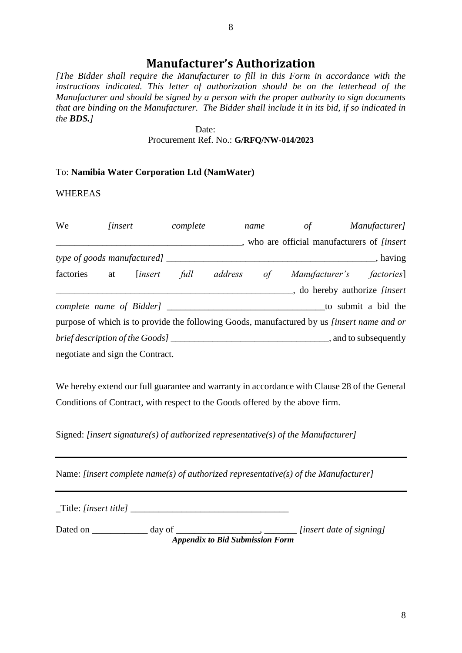## **Manufacturer's Authorization**

*[The Bidder shall require the Manufacturer to fill in this Form in accordance with the instructions indicated. This letter of authorization should be on the letterhead of the Manufacturer and should be signed by a person with the proper authority to sign documents that are binding on the Manufacturer. The Bidder shall include it in its bid, if so indicated in the BDS.]*

> Date: Procurement Ref. No.: **G/RFQ/NW-014/2023**

#### To: **Namibia Water Corporation Ltd (NamWater)**

WHEREAS

| We                                   | <i>linsert</i> |                 | complete |            | name | of                                                                                                | Manufacturer]                  |
|--------------------------------------|----------------|-----------------|----------|------------|------|---------------------------------------------------------------------------------------------------|--------------------------------|
|                                      |                |                 |          |            |      | , who are official manufacturers of <i>[insert</i> ]                                              |                                |
| type of goods manufactured] $\qquad$ |                |                 |          |            |      |                                                                                                   | $\Box$ , having                |
| factories                            |                | at [insert full |          | address of |      |                                                                                                   | Manufacturer's factories]      |
|                                      |                |                 |          |            |      |                                                                                                   | , do hereby authorize [insert] |
|                                      |                |                 |          |            |      |                                                                                                   | to submit a bid the            |
|                                      |                |                 |          |            |      | purpose of which is to provide the following Goods, manufactured by us <i>[insert name and or</i> |                                |
|                                      |                |                 |          |            |      |                                                                                                   |                                |
| negotiate and sign the Contract.     |                |                 |          |            |      |                                                                                                   |                                |

We hereby extend our full guarantee and warranty in accordance with Clause 28 of the General Conditions of Contract, with respect to the Goods offered by the above firm.

Signed: *[insert signature(s) of authorized representative(s) of the Manufacturer]* 

Name: *[insert complete name(s) of authorized representative(s) of the Manufacturer]*

\_Title: *[insert title]* \_\_\_\_\_\_\_\_\_\_\_\_\_\_\_\_\_\_\_\_\_\_\_\_\_\_\_\_\_\_\_\_\_\_

Dated on \_\_\_\_\_\_\_\_\_\_\_\_\_ day of \_\_\_\_\_\_\_\_\_\_\_\_\_\_\_\_\_\_\_\_\_\_\_*\_\_\_\_\_\_\_\_\_\_ [insert date of signing] Appendix to Bid Submission Form*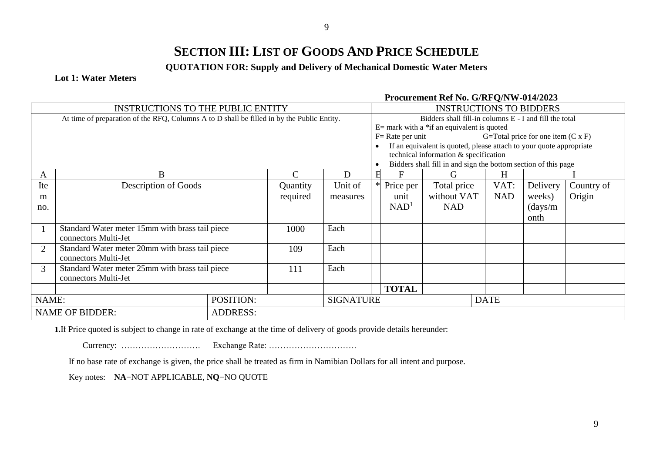## **SECTION III: LIST OF GOODS AND PRICE SCHEDULE**

**QUOTATION FOR: Supply and Delivery of Mechanical Domestic Water Meters**

#### **Lot 1: Water Meters**

#### **Procurement Ref No. G/RFQ/NW-014/2023**

|                | <b>INSTRUCTIONS TO THE PUBLIC ENTITY</b>                                                   |                 |                  |             | <b>INSTRUCTIONS TO BIDDERS</b>                         |                     |                                                                     |  |            |                                           |            |
|----------------|--------------------------------------------------------------------------------------------|-----------------|------------------|-------------|--------------------------------------------------------|---------------------|---------------------------------------------------------------------|--|------------|-------------------------------------------|------------|
|                | At time of preparation of the RFQ, Columns A to D shall be filled in by the Public Entity. |                 |                  |             | Bidders shall fill-in columns E - I and fill the total |                     |                                                                     |  |            |                                           |            |
|                |                                                                                            |                 |                  |             |                                                        |                     | $E=$ mark with a *if an equivalent is quoted                        |  |            |                                           |            |
|                |                                                                                            |                 |                  |             |                                                        | $F = Rate per unit$ |                                                                     |  |            | G=Total price for one item $(C \times F)$ |            |
|                |                                                                                            |                 |                  |             |                                                        |                     | If an equivalent is quoted, please attach to your quote appropriate |  |            |                                           |            |
|                |                                                                                            |                 |                  |             |                                                        |                     | technical information & specification                               |  |            |                                           |            |
|                |                                                                                            |                 |                  |             |                                                        |                     | Bidders shall fill in and sign the bottom section of this page      |  |            |                                           |            |
| A              | B                                                                                          |                 | $\mathcal{C}$    | D           | H                                                      | F                   | G                                                                   |  | H          |                                           |            |
| Ite            | Description of Goods                                                                       |                 | Quantity         | Unit of     |                                                        | Price per           | Total price                                                         |  | VAT:       | Delivery                                  | Country of |
| m              |                                                                                            |                 | required         | measures    |                                                        | unit                | without VAT                                                         |  | <b>NAD</b> | weeks)                                    | Origin     |
| no.            |                                                                                            |                 |                  |             |                                                        | NAD <sup>1</sup>    | <b>NAD</b>                                                          |  |            | $\frac{days}{m}$                          |            |
|                |                                                                                            |                 |                  |             |                                                        |                     |                                                                     |  |            | onth                                      |            |
|                | Standard Water meter 15mm with brass tail piece                                            |                 | 1000             | Each        |                                                        |                     |                                                                     |  |            |                                           |            |
|                | connectors Multi-Jet                                                                       |                 |                  |             |                                                        |                     |                                                                     |  |            |                                           |            |
| $\overline{2}$ | Standard Water meter 20mm with brass tail piece                                            |                 | 109              | Each        |                                                        |                     |                                                                     |  |            |                                           |            |
|                | connectors Multi-Jet                                                                       |                 |                  |             |                                                        |                     |                                                                     |  |            |                                           |            |
| 3              | Standard Water meter 25mm with brass tail piece                                            |                 | 111              | Each        |                                                        |                     |                                                                     |  |            |                                           |            |
|                | connectors Multi-Jet                                                                       |                 |                  |             |                                                        |                     |                                                                     |  |            |                                           |            |
|                |                                                                                            |                 |                  |             |                                                        | <b>TOTAL</b>        |                                                                     |  |            |                                           |            |
|                | POSITION:<br>NAME:                                                                         |                 | <b>SIGNATURE</b> | <b>DATE</b> |                                                        |                     |                                                                     |  |            |                                           |            |
|                | <b>NAME OF BIDDER:</b>                                                                     | <b>ADDRESS:</b> |                  |             |                                                        |                     |                                                                     |  |            |                                           |            |

**1.**If Price quoted is subject to change in rate of exchange at the time of delivery of goods provide details hereunder:

Currency: ………………………. Exchange Rate: ………………………….

If no base rate of exchange is given, the price shall be treated as firm in Namibian Dollars for all intent and purpose.

Key notes: **NA**=NOT APPLICABLE, **NQ**=NO QUOTE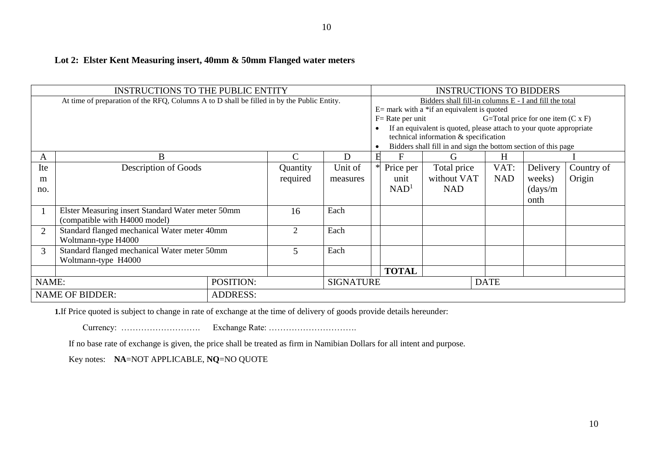## **Lot 2: Elster Kent Measuring insert, 40mm & 50mm Flanged water meters**

|                                                                                            | <b>INSTRUCTIONS TO THE PUBLIC ENTITY</b>                                           |                 |                |                     | <b>INSTRUCTIONS TO BIDDERS</b>                                                                                                                                                                                                                                                           |                  |                                           |             |                  |            |
|--------------------------------------------------------------------------------------------|------------------------------------------------------------------------------------|-----------------|----------------|---------------------|------------------------------------------------------------------------------------------------------------------------------------------------------------------------------------------------------------------------------------------------------------------------------------------|------------------|-------------------------------------------|-------------|------------------|------------|
| At time of preparation of the RFQ, Columns A to D shall be filled in by the Public Entity. |                                                                                    |                 | $\bullet$      | $F = Rate per unit$ | Bidders shall fill-in columns E - I and fill the total<br>$E=$ mark with a *if an equivalent is quoted<br>If an equivalent is quoted, please attach to your quote appropriate<br>technical information & specification<br>Bidders shall fill in and sign the bottom section of this page |                  | G=Total price for one item $(C \times F)$ |             |                  |            |
| A                                                                                          | B                                                                                  |                 | C              | D                   |                                                                                                                                                                                                                                                                                          | F                | G                                         | H           |                  |            |
| Ite                                                                                        | Description of Goods                                                               |                 | Quantity       | Unit of             |                                                                                                                                                                                                                                                                                          | Price per        | Total price                               | VAT:        | Delivery         | Country of |
| m                                                                                          |                                                                                    |                 | required       | measures            |                                                                                                                                                                                                                                                                                          | unit             | without VAT                               | <b>NAD</b>  | weeks)           | Origin     |
| no.                                                                                        |                                                                                    |                 |                |                     |                                                                                                                                                                                                                                                                                          | NAD <sup>1</sup> | <b>NAD</b>                                |             | $\frac{days}{m}$ |            |
|                                                                                            |                                                                                    |                 |                |                     |                                                                                                                                                                                                                                                                                          |                  |                                           |             | onth             |            |
|                                                                                            | Elster Measuring insert Standard Water meter 50mm<br>(compatible with H4000 model) |                 | 16             | Each                |                                                                                                                                                                                                                                                                                          |                  |                                           |             |                  |            |
| $\overline{2}$                                                                             | Standard flanged mechanical Water meter 40mm<br>Woltmann-type H4000                |                 | $\overline{2}$ | Each                |                                                                                                                                                                                                                                                                                          |                  |                                           |             |                  |            |
| 3                                                                                          | Standard flanged mechanical Water meter 50mm<br>Woltmann-type H4000                |                 | 5              | Each                |                                                                                                                                                                                                                                                                                          |                  |                                           |             |                  |            |
|                                                                                            |                                                                                    |                 |                |                     |                                                                                                                                                                                                                                                                                          | <b>TOTAL</b>     |                                           |             |                  |            |
| NAME:                                                                                      |                                                                                    | POSITION:       |                | <b>SIGNATURE</b>    |                                                                                                                                                                                                                                                                                          |                  |                                           | <b>DATE</b> |                  |            |
|                                                                                            | <b>NAME OF BIDDER:</b>                                                             | <b>ADDRESS:</b> |                |                     |                                                                                                                                                                                                                                                                                          |                  |                                           |             |                  |            |

**1.**If Price quoted is subject to change in rate of exchange at the time of delivery of goods provide details hereunder:

Currency: ………………………. Exchange Rate: ………………………….

If no base rate of exchange is given, the price shall be treated as firm in Namibian Dollars for all intent and purpose.

Key notes: **NA**=NOT APPLICABLE, **NQ**=NO QUOTE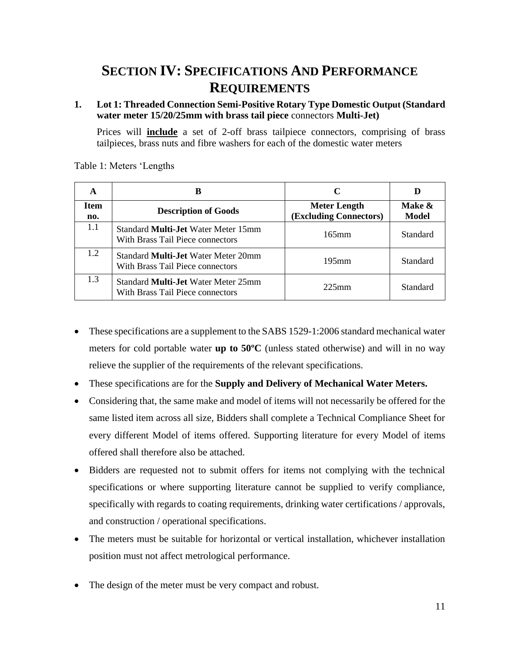## **SECTION IV: SPECIFICATIONS AND PERFORMANCE REQUIREMENTS**

### **1. Lot 1: Threaded Connection Semi-Positive Rotary Type Domestic Output (Standard water meter 15/20/25mm with brass tail piece** connectors **Multi-Jet)**

Prices will **include** a set of 2-off brass tailpiece connectors, comprising of brass tailpieces, brass nuts and fibre washers for each of the domestic water meters

| A                  | в                                                                              |                                                      |                 |
|--------------------|--------------------------------------------------------------------------------|------------------------------------------------------|-----------------|
| <b>Item</b><br>no. | <b>Description of Goods</b>                                                    | <b>Meter Length</b><br><b>(Excluding Connectors)</b> | Make &<br>Model |
| 1.1                | Standard <b>Multi-Jet</b> Water Meter 15mm<br>With Brass Tail Piece connectors | $165$ mm                                             | Standard        |
| 1.2                | Standard <b>Multi-Jet</b> Water Meter 20mm<br>With Brass Tail Piece connectors | $195$ mm                                             | Standard        |
| 1.3                | Standard <b>Multi-Jet</b> Water Meter 25mm<br>With Brass Tail Piece connectors | $225$ mm                                             | Standard        |

Table 1: Meters 'Lengths

- These specifications are a supplement to the SABS 1529-1:2006 standard mechanical water meters for cold portable water **up to 50ºC** (unless stated otherwise) and will in no way relieve the supplier of the requirements of the relevant specifications.
- These specifications are for the **Supply and Delivery of Mechanical Water Meters.**
- Considering that, the same make and model of items will not necessarily be offered for the same listed item across all size, Bidders shall complete a Technical Compliance Sheet for every different Model of items offered. Supporting literature for every Model of items offered shall therefore also be attached.
- Bidders are requested not to submit offers for items not complying with the technical specifications or where supporting literature cannot be supplied to verify compliance, specifically with regards to coating requirements, drinking water certifications / approvals, and construction / operational specifications.
- The meters must be suitable for horizontal or vertical installation, whichever installation position must not affect metrological performance.
- The design of the meter must be very compact and robust.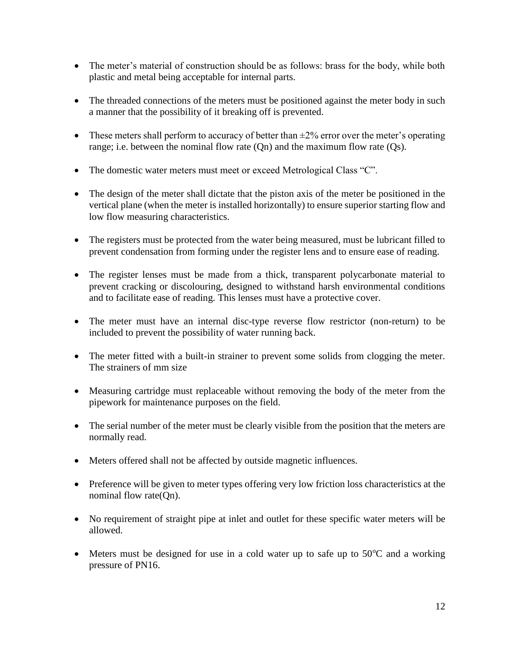- The meter's material of construction should be as follows: brass for the body, while both plastic and metal being acceptable for internal parts.
- The threaded connections of the meters must be positioned against the meter body in such a manner that the possibility of it breaking off is prevented.
- These meters shall perform to accuracy of better than  $\pm 2\%$  error over the meter's operating range; i.e. between the nominal flow rate (Qn) and the maximum flow rate (Qs).
- The domestic water meters must meet or exceed Metrological Class "C".
- The design of the meter shall dictate that the piston axis of the meter be positioned in the vertical plane (when the meter is installed horizontally) to ensure superior starting flow and low flow measuring characteristics.
- The registers must be protected from the water being measured, must be lubricant filled to prevent condensation from forming under the register lens and to ensure ease of reading.
- The register lenses must be made from a thick, transparent polycarbonate material to prevent cracking or discolouring, designed to withstand harsh environmental conditions and to facilitate ease of reading. This lenses must have a protective cover.
- The meter must have an internal disc-type reverse flow restrictor (non-return) to be included to prevent the possibility of water running back.
- The meter fitted with a built-in strainer to prevent some solids from clogging the meter. The strainers of mm size
- Measuring cartridge must replaceable without removing the body of the meter from the pipework for maintenance purposes on the field.
- The serial number of the meter must be clearly visible from the position that the meters are normally read.
- Meters offered shall not be affected by outside magnetic influences.
- Preference will be given to meter types offering very low friction loss characteristics at the nominal flow rate(On).
- No requirement of straight pipe at inlet and outlet for these specific water meters will be allowed.
- $\bullet$  Meters must be designed for use in a cold water up to safe up to 50 $\degree$ C and a working pressure of PN16.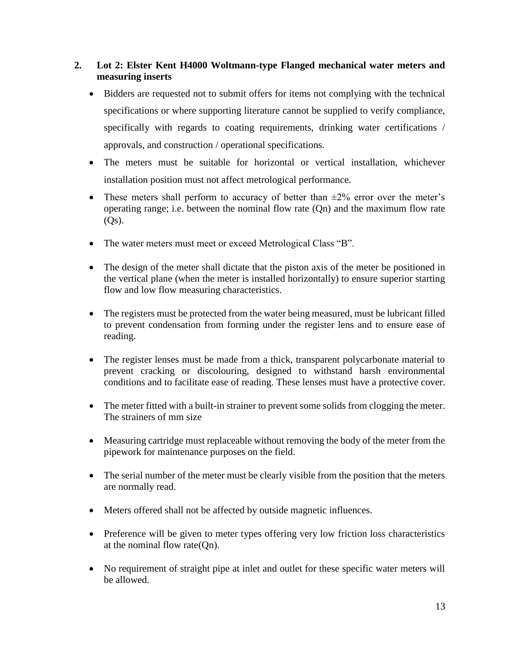## **2. Lot 2: Elster Kent H4000 Woltmann-type Flanged mechanical water meters and measuring inserts**

- Bidders are requested not to submit offers for items not complying with the technical specifications or where supporting literature cannot be supplied to verify compliance, specifically with regards to coating requirements, drinking water certifications / approvals, and construction / operational specifications.
- The meters must be suitable for horizontal or vertical installation, whichever installation position must not affect metrological performance.
- These meters shall perform to accuracy of better than  $\pm 2\%$  error over the meter's operating range; i.e. between the nominal flow rate (Qn) and the maximum flow rate  $(Q<sub>S</sub>)$ .
- The water meters must meet or exceed Metrological Class "B".
- The design of the meter shall dictate that the piston axis of the meter be positioned in the vertical plane (when the meter is installed horizontally) to ensure superior starting flow and low flow measuring characteristics.
- The registers must be protected from the water being measured, must be lubricant filled to prevent condensation from forming under the register lens and to ensure ease of reading.
- The register lenses must be made from a thick, transparent polycarbonate material to prevent cracking or discolouring, designed to withstand harsh environmental conditions and to facilitate ease of reading. These lenses must have a protective cover.
- The meter fitted with a built-in strainer to prevent some solids from clogging the meter. The strainers of mm size
- Measuring cartridge must replaceable without removing the body of the meter from the pipework for maintenance purposes on the field.
- The serial number of the meter must be clearly visible from the position that the meters are normally read.
- Meters offered shall not be affected by outside magnetic influences.
- Preference will be given to meter types offering very low friction loss characteristics at the nominal flow rate(Qn).
- No requirement of straight pipe at inlet and outlet for these specific water meters will be allowed.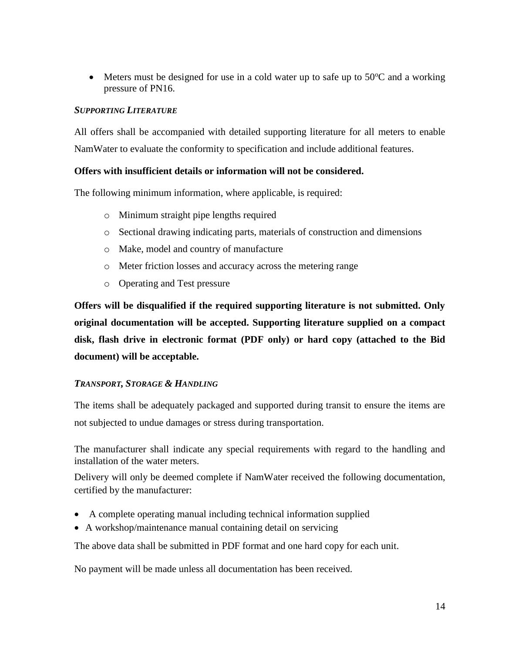$\bullet$  Meters must be designed for use in a cold water up to safe up to 50 $\degree$ C and a working pressure of PN16.

### *SUPPORTING LITERATURE*

All offers shall be accompanied with detailed supporting literature for all meters to enable NamWater to evaluate the conformity to specification and include additional features.

## **Offers with insufficient details or information will not be considered.**

The following minimum information, where applicable, is required:

- o Minimum straight pipe lengths required
- o Sectional drawing indicating parts, materials of construction and dimensions
- o Make, model and country of manufacture
- o Meter friction losses and accuracy across the metering range
- o Operating and Test pressure

**Offers will be disqualified if the required supporting literature is not submitted. Only original documentation will be accepted. Supporting literature supplied on a compact disk, flash drive in electronic format (PDF only) or hard copy (attached to the Bid document) will be acceptable.**

#### *TRANSPORT, STORAGE & HANDLING*

The items shall be adequately packaged and supported during transit to ensure the items are not subjected to undue damages or stress during transportation.

The manufacturer shall indicate any special requirements with regard to the handling and installation of the water meters.

Delivery will only be deemed complete if NamWater received the following documentation, certified by the manufacturer:

- A complete operating manual including technical information supplied
- A workshop/maintenance manual containing detail on servicing

The above data shall be submitted in PDF format and one hard copy for each unit.

No payment will be made unless all documentation has been received.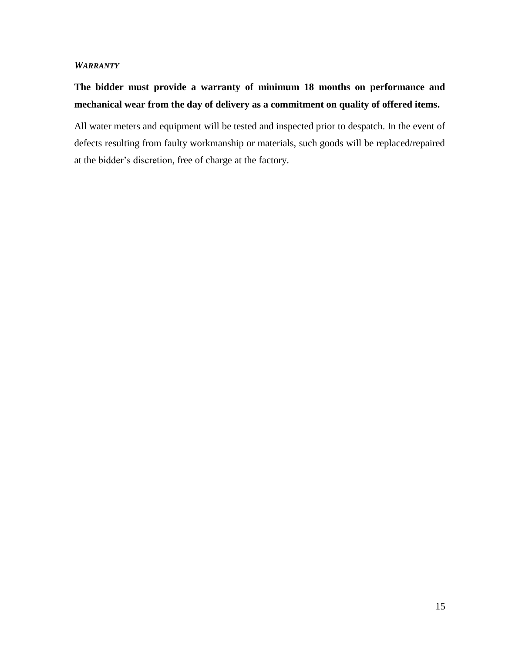#### *WARRANTY*

## **The bidder must provide a warranty of minimum 18 months on performance and mechanical wear from the day of delivery as a commitment on quality of offered items.**

All water meters and equipment will be tested and inspected prior to despatch. In the event of defects resulting from faulty workmanship or materials, such goods will be replaced/repaired at the bidder's discretion, free of charge at the factory.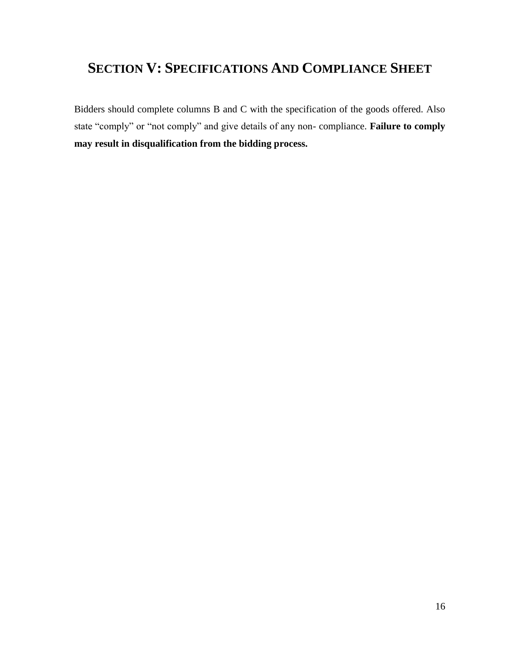## **SECTION V: SPECIFICATIONS AND COMPLIANCE SHEET**

Bidders should complete columns B and C with the specification of the goods offered. Also state "comply" or "not comply" and give details of any non- compliance. **Failure to comply may result in disqualification from the bidding process.**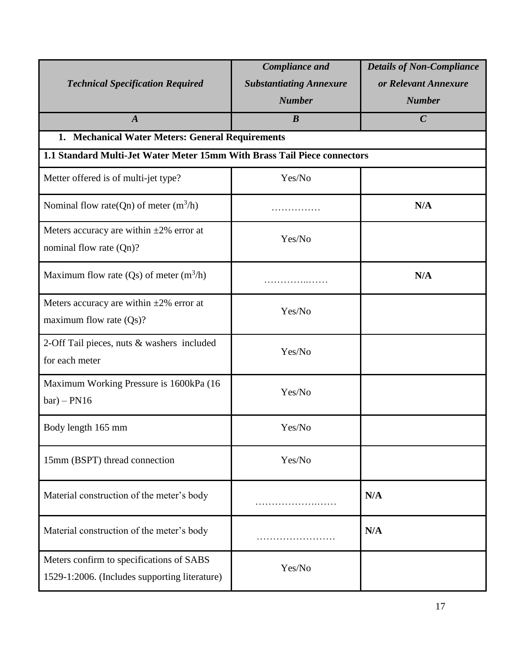| <b>Technical Specification Required</b>                                                                                      | <b>Compliance and</b><br><b>Substantiating Annexure</b> | <b>Details of Non-Compliance</b><br>or Relevant Annexure |  |  |  |  |  |  |  |
|------------------------------------------------------------------------------------------------------------------------------|---------------------------------------------------------|----------------------------------------------------------|--|--|--|--|--|--|--|
| $\boldsymbol{A}$                                                                                                             | <b>Number</b><br>$\boldsymbol{B}$                       | <b>Number</b><br>$\mathcal C$                            |  |  |  |  |  |  |  |
|                                                                                                                              |                                                         |                                                          |  |  |  |  |  |  |  |
| 1. Mechanical Water Meters: General Requirements<br>1.1 Standard Multi-Jet Water Meter 15mm With Brass Tail Piece connectors |                                                         |                                                          |  |  |  |  |  |  |  |
|                                                                                                                              |                                                         |                                                          |  |  |  |  |  |  |  |
| Metter offered is of multi-jet type?                                                                                         | Yes/No                                                  |                                                          |  |  |  |  |  |  |  |
| Nominal flow rate(Qn) of meter $(m^3/h)$                                                                                     |                                                         | N/A                                                      |  |  |  |  |  |  |  |
| Meters accuracy are within $\pm 2\%$ error at                                                                                | Yes/No                                                  |                                                          |  |  |  |  |  |  |  |
| nominal flow rate (Qn)?                                                                                                      |                                                         |                                                          |  |  |  |  |  |  |  |
| Maximum flow rate $(Qs)$ of meter $(m^3/h)$                                                                                  |                                                         | N/A                                                      |  |  |  |  |  |  |  |
| Meters accuracy are within $\pm 2\%$ error at                                                                                | Yes/No                                                  |                                                          |  |  |  |  |  |  |  |
| maximum flow rate $(Qs)$ ?                                                                                                   |                                                         |                                                          |  |  |  |  |  |  |  |
| 2-Off Tail pieces, nuts & washers included                                                                                   | Yes/No                                                  |                                                          |  |  |  |  |  |  |  |
| for each meter                                                                                                               |                                                         |                                                          |  |  |  |  |  |  |  |
| Maximum Working Pressure is 1600kPa (16                                                                                      | Yes/No                                                  |                                                          |  |  |  |  |  |  |  |
| $bar) - PN16$                                                                                                                |                                                         |                                                          |  |  |  |  |  |  |  |
| Body length 165 mm                                                                                                           | Yes/No                                                  |                                                          |  |  |  |  |  |  |  |
| 15mm (BSPT) thread connection                                                                                                | Yes/No                                                  |                                                          |  |  |  |  |  |  |  |
| Material construction of the meter's body                                                                                    |                                                         | N/A                                                      |  |  |  |  |  |  |  |
| Material construction of the meter's body                                                                                    |                                                         | N/A                                                      |  |  |  |  |  |  |  |
| Meters confirm to specifications of SABS                                                                                     | Yes/No                                                  |                                                          |  |  |  |  |  |  |  |
| 1529-1:2006. (Includes supporting literature)                                                                                |                                                         |                                                          |  |  |  |  |  |  |  |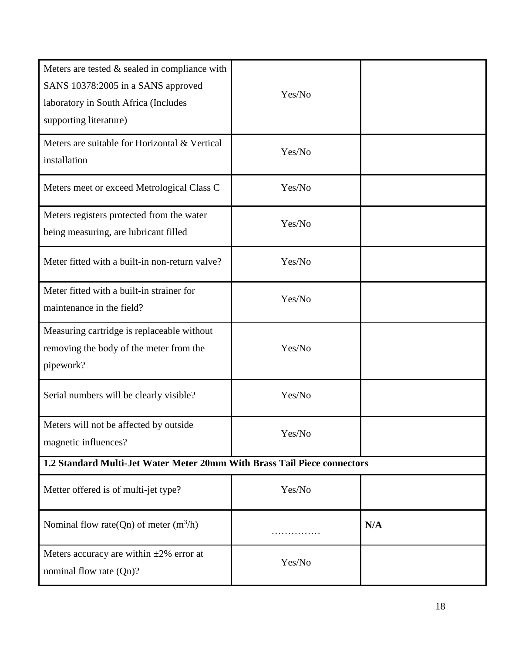| Meters are tested & sealed in compliance with<br>SANS 10378:2005 in a SANS approved<br>laboratory in South Africa (Includes<br>supporting literature) | Yes/No |     |
|-------------------------------------------------------------------------------------------------------------------------------------------------------|--------|-----|
| Meters are suitable for Horizontal & Vertical<br>installation                                                                                         | Yes/No |     |
| Meters meet or exceed Metrological Class C                                                                                                            | Yes/No |     |
| Meters registers protected from the water<br>being measuring, are lubricant filled                                                                    | Yes/No |     |
| Meter fitted with a built-in non-return valve?                                                                                                        | Yes/No |     |
| Meter fitted with a built-in strainer for<br>maintenance in the field?                                                                                | Yes/No |     |
| Measuring cartridge is replaceable without<br>removing the body of the meter from the<br>pipework?                                                    | Yes/No |     |
| Serial numbers will be clearly visible?                                                                                                               | Yes/No |     |
| Meters will not be affected by outside<br>magnetic influences?                                                                                        | Yes/No |     |
| 1.2 Standard Multi-Jet Water Meter 20mm With Brass Tail Piece connectors                                                                              |        |     |
| Metter offered is of multi-jet type?                                                                                                                  | Yes/No |     |
| Nominal flow rate(Qn) of meter $(m^3/h)$                                                                                                              |        | N/A |
| Meters accuracy are within $\pm 2\%$ error at<br>nominal flow rate (Qn)?                                                                              | Yes/No |     |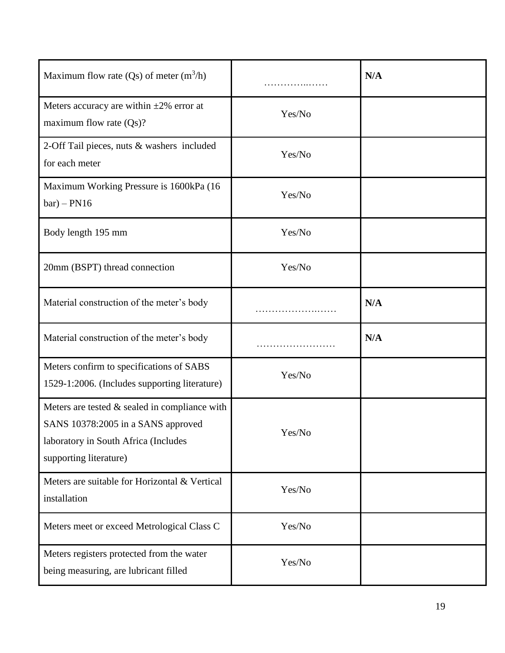| Maximum flow rate $(Qs)$ of meter $(m^3/h)$                                                                                                             | .      | N/A |
|---------------------------------------------------------------------------------------------------------------------------------------------------------|--------|-----|
| Meters accuracy are within $\pm 2\%$ error at<br>maximum flow rate $(Qs)$ ?                                                                             | Yes/No |     |
| 2-Off Tail pieces, nuts & washers included<br>for each meter                                                                                            | Yes/No |     |
| Maximum Working Pressure is 1600kPa (16)<br>$bar) - PN16$                                                                                               | Yes/No |     |
| Body length 195 mm                                                                                                                                      | Yes/No |     |
| 20mm (BSPT) thread connection                                                                                                                           | Yes/No |     |
| Material construction of the meter's body                                                                                                               |        | N/A |
| Material construction of the meter's body                                                                                                               |        | N/A |
| Meters confirm to specifications of SABS<br>1529-1:2006. (Includes supporting literature)                                                               | Yes/No |     |
| Meters are tested $&$ sealed in compliance with<br>SANS 10378:2005 in a SANS approved<br>laboratory in South Africa (Includes<br>supporting literature) | Yes/No |     |
| Meters are suitable for Horizontal & Vertical<br>installation                                                                                           | Yes/No |     |
| Meters meet or exceed Metrological Class C                                                                                                              | Yes/No |     |
| Meters registers protected from the water<br>being measuring, are lubricant filled                                                                      | Yes/No |     |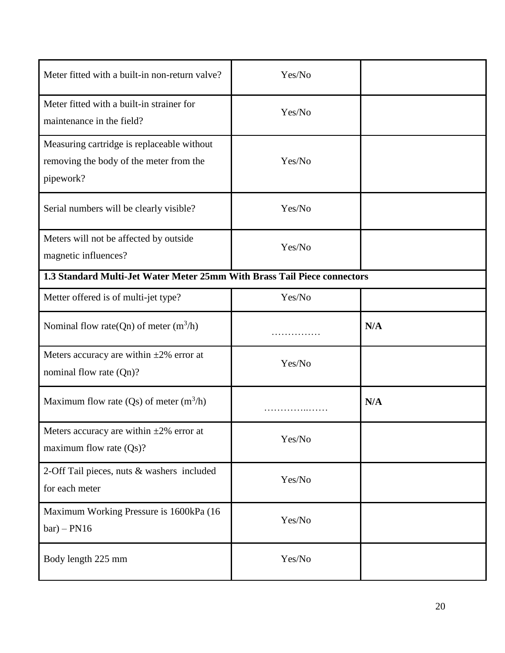| Meter fitted with a built-in non-return valve?                                                     | Yes/No |     |  |  |  |  |
|----------------------------------------------------------------------------------------------------|--------|-----|--|--|--|--|
| Meter fitted with a built-in strainer for<br>maintenance in the field?                             | Yes/No |     |  |  |  |  |
| Measuring cartridge is replaceable without<br>removing the body of the meter from the<br>pipework? | Yes/No |     |  |  |  |  |
| Serial numbers will be clearly visible?                                                            | Yes/No |     |  |  |  |  |
| Meters will not be affected by outside<br>magnetic influences?                                     | Yes/No |     |  |  |  |  |
| 1.3 Standard Multi-Jet Water Meter 25mm With Brass Tail Piece connectors                           |        |     |  |  |  |  |
| Metter offered is of multi-jet type?                                                               | Yes/No |     |  |  |  |  |
| Nominal flow rate(Qn) of meter $(m^3/h)$                                                           |        | N/A |  |  |  |  |
| Meters accuracy are within $\pm 2\%$ error at<br>nominal flow rate (Qn)?                           | Yes/No |     |  |  |  |  |
| Maximum flow rate $(Qs)$ of meter $(m^3/h)$                                                        |        | N/A |  |  |  |  |
| Meters accuracy are within $\pm 2\%$ error at<br>maximum flow rate $(Qs)$ ?                        | Yes/No |     |  |  |  |  |
| 2-Off Tail pieces, nuts & washers included<br>for each meter                                       | Yes/No |     |  |  |  |  |
| Maximum Working Pressure is 1600kPa (16<br>$bar) - PN16$                                           | Yes/No |     |  |  |  |  |
| Body length 225 mm                                                                                 | Yes/No |     |  |  |  |  |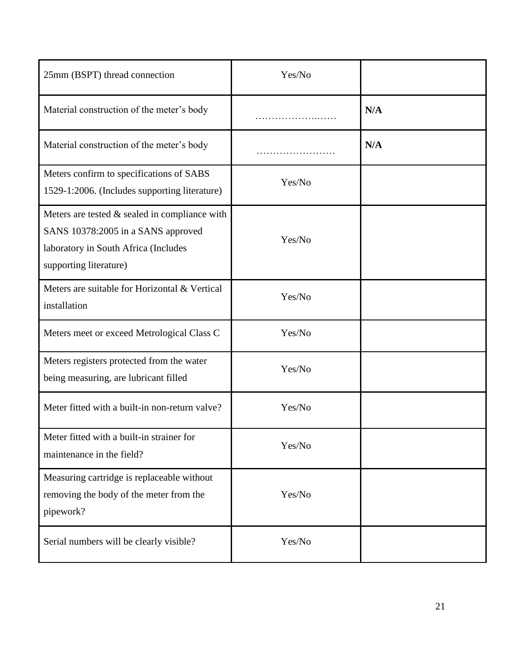| 25mm (BSPT) thread connection                                                                                                                            | Yes/No |     |
|----------------------------------------------------------------------------------------------------------------------------------------------------------|--------|-----|
| Material construction of the meter's body                                                                                                                |        | N/A |
| Material construction of the meter's body                                                                                                                |        | N/A |
| Meters confirm to specifications of SABS<br>1529-1:2006. (Includes supporting literature)                                                                | Yes/No |     |
| Meters are tested $\&$ sealed in compliance with<br>SANS 10378:2005 in a SANS approved<br>laboratory in South Africa (Includes<br>supporting literature) | Yes/No |     |
| Meters are suitable for Horizontal & Vertical<br>installation                                                                                            | Yes/No |     |
| Meters meet or exceed Metrological Class C                                                                                                               | Yes/No |     |
| Meters registers protected from the water<br>being measuring, are lubricant filled                                                                       | Yes/No |     |
| Meter fitted with a built-in non-return valve?                                                                                                           | Yes/No |     |
| Meter fitted with a built-in strainer for<br>maintenance in the field?                                                                                   | Yes/No |     |
| Measuring cartridge is replaceable without<br>removing the body of the meter from the<br>pipework?                                                       | Yes/No |     |
| Serial numbers will be clearly visible?                                                                                                                  | Yes/No |     |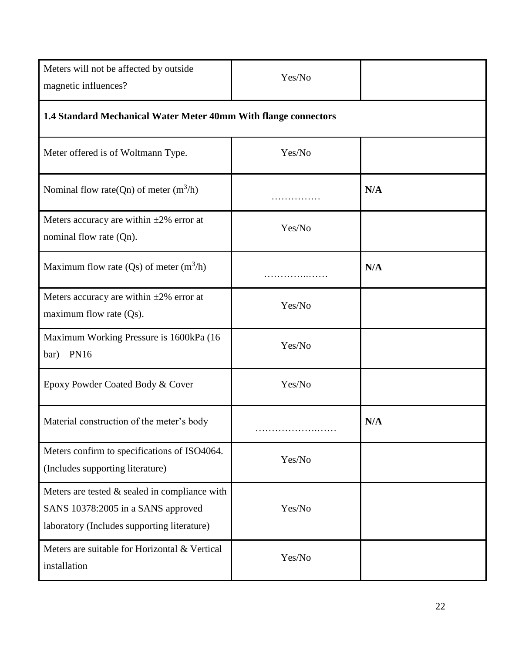| Meters will not be affected by outside<br>magnetic influences?                                                                       | Yes/No |     |  |
|--------------------------------------------------------------------------------------------------------------------------------------|--------|-----|--|
| 1.4 Standard Mechanical Water Meter 40mm With flange connectors                                                                      |        |     |  |
| Meter offered is of Woltmann Type.                                                                                                   | Yes/No |     |  |
| Nominal flow rate(Qn) of meter $(m^3/h)$                                                                                             |        | N/A |  |
| Meters accuracy are within $\pm 2\%$ error at<br>nominal flow rate (Qn).                                                             | Yes/No |     |  |
| Maximum flow rate $(Qs)$ of meter $(m^3/h)$                                                                                          |        | N/A |  |
| Meters accuracy are within $\pm 2\%$ error at<br>maximum flow rate $(Qs)$ .                                                          | Yes/No |     |  |
| Maximum Working Pressure is 1600kPa (16<br>$bar) - PN16$                                                                             | Yes/No |     |  |
| Epoxy Powder Coated Body & Cover                                                                                                     | Yes/No |     |  |
| Material construction of the meter's body                                                                                            |        | N/A |  |
| Meters confirm to specifications of ISO4064.<br>(Includes supporting literature)                                                     | Yes/No |     |  |
| Meters are tested $&$ sealed in compliance with<br>SANS 10378:2005 in a SANS approved<br>laboratory (Includes supporting literature) | Yes/No |     |  |
| Meters are suitable for Horizontal & Vertical<br>installation                                                                        | Yes/No |     |  |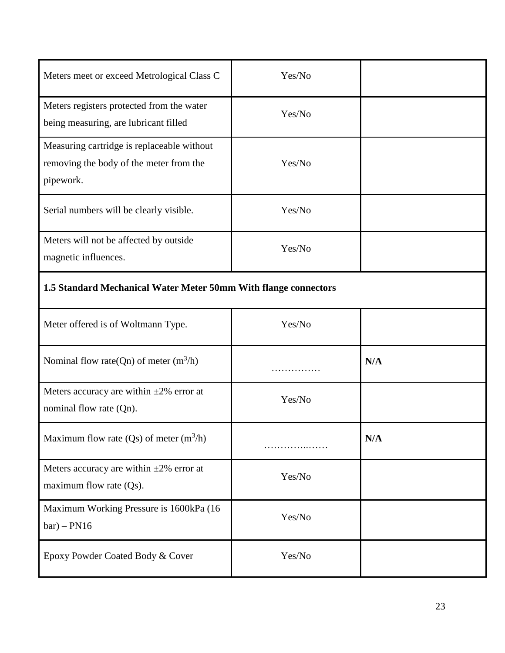| Meters meet or exceed Metrological Class C                                                         | Yes/No |     |  |
|----------------------------------------------------------------------------------------------------|--------|-----|--|
| Meters registers protected from the water<br>being measuring, are lubricant filled                 | Yes/No |     |  |
| Measuring cartridge is replaceable without<br>removing the body of the meter from the<br>pipework. | Yes/No |     |  |
| Serial numbers will be clearly visible.                                                            | Yes/No |     |  |
| Meters will not be affected by outside<br>magnetic influences.                                     | Yes/No |     |  |
| 1.5 Standard Mechanical Water Meter 50mm With flange connectors                                    |        |     |  |
| Meter offered is of Woltmann Type.                                                                 | Yes/No |     |  |
| Nominal flow rate(Qn) of meter $(m^3/h)$                                                           |        | N/A |  |
| Meters accuracy are within $\pm 2\%$ error at<br>nominal flow rate (Qn).                           | Yes/No |     |  |
| Maximum flow rate (Qs) of meter $(m^3/h)$                                                          | .      | N/A |  |

Yes/No

Yes/No

Meters accuracy are within  $\pm 2\%$  error at

Maximum Working Pressure is 1600kPa (16

Epoxy Powder Coated Body & Cover Yes/No

maximum flow rate (Qs).

 $bar) - PN16$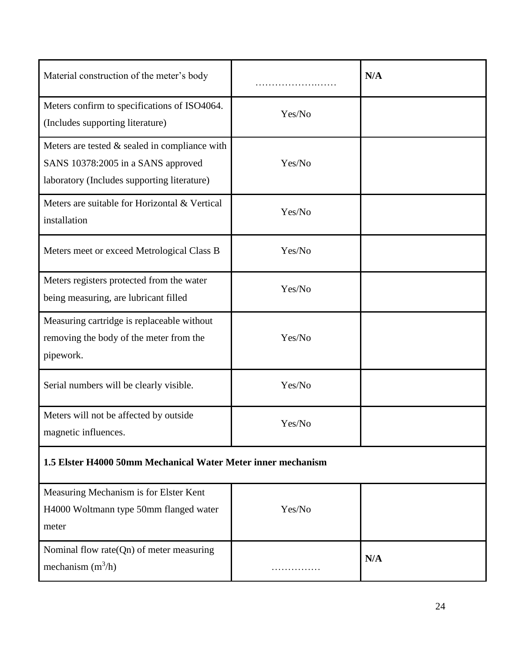| Material construction of the meter's body                                                                                            |        | N/A |  |
|--------------------------------------------------------------------------------------------------------------------------------------|--------|-----|--|
| Meters confirm to specifications of ISO4064.<br>(Includes supporting literature)                                                     | Yes/No |     |  |
| Meters are tested $&$ sealed in compliance with<br>SANS 10378:2005 in a SANS approved<br>laboratory (Includes supporting literature) | Yes/No |     |  |
| Meters are suitable for Horizontal & Vertical<br>installation                                                                        | Yes/No |     |  |
| Meters meet or exceed Metrological Class B                                                                                           | Yes/No |     |  |
| Meters registers protected from the water<br>being measuring, are lubricant filled                                                   | Yes/No |     |  |
| Measuring cartridge is replaceable without<br>removing the body of the meter from the<br>pipework.                                   | Yes/No |     |  |
| Serial numbers will be clearly visible.                                                                                              | Yes/No |     |  |
| Meters will not be affected by outside<br>magnetic influences.                                                                       | Yes/No |     |  |
| 1.5 Elster H4000 50mm Mechanical Water Meter inner mechanism                                                                         |        |     |  |
| Measuring Mechanism is for Elster Kent<br>H4000 Woltmann type 50mm flanged water<br>meter                                            | Yes/No |     |  |

/h) ……………

**N/A**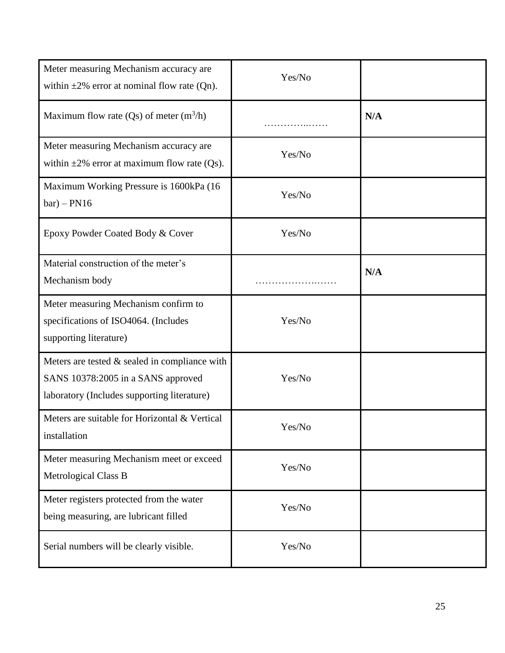| Meter measuring Mechanism accuracy are<br>within $\pm 2\%$ error at nominal flow rate (Qn).                                          | Yes/No |     |
|--------------------------------------------------------------------------------------------------------------------------------------|--------|-----|
| Maximum flow rate $(Qs)$ of meter $(m^3/h)$                                                                                          |        | N/A |
| Meter measuring Mechanism accuracy are<br>within $\pm 2\%$ error at maximum flow rate (Qs).                                          | Yes/No |     |
| Maximum Working Pressure is 1600kPa (16)<br>$bar) - PN16$                                                                            | Yes/No |     |
| Epoxy Powder Coated Body & Cover                                                                                                     | Yes/No |     |
| Material construction of the meter's<br>Mechanism body                                                                               |        | N/A |
| Meter measuring Mechanism confirm to<br>specifications of ISO4064. (Includes<br>supporting literature)                               | Yes/No |     |
| Meters are tested $&$ sealed in compliance with<br>SANS 10378:2005 in a SANS approved<br>laboratory (Includes supporting literature) | Yes/No |     |
| Meters are suitable for Horizontal & Vertical<br>installation                                                                        | Yes/No |     |
| Meter measuring Mechanism meet or exceed<br>Metrological Class B                                                                     | Yes/No |     |
| Meter registers protected from the water<br>being measuring, are lubricant filled                                                    | Yes/No |     |
| Serial numbers will be clearly visible.                                                                                              | Yes/No |     |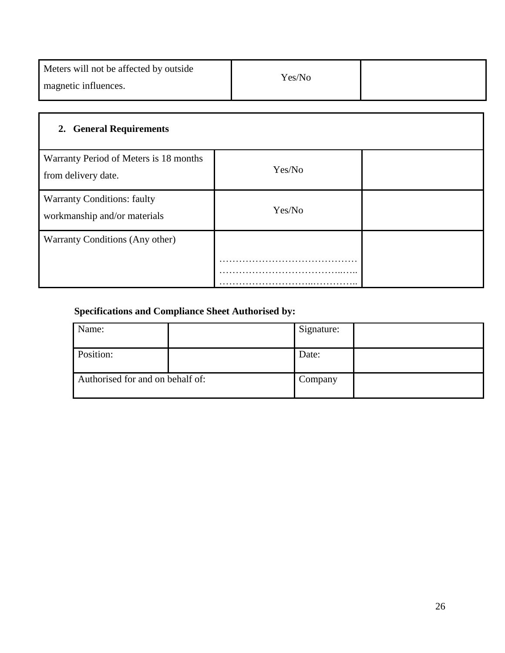| Meters will not be affected by outside |        |  |
|----------------------------------------|--------|--|
| magnetic influences.                   | Yes/No |  |

| 2. General Requirements                                            |        |  |  |
|--------------------------------------------------------------------|--------|--|--|
| Warranty Period of Meters is 18 months<br>from delivery date.      | Yes/No |  |  |
| <b>Warranty Conditions: faulty</b><br>workmanship and/or materials | Yes/No |  |  |
| Warranty Conditions (Any other)                                    |        |  |  |
|                                                                    |        |  |  |

## **Specifications and Compliance Sheet Authorised by:**

| Name:                            | Signature: |  |
|----------------------------------|------------|--|
| Position:                        | Date:      |  |
| Authorised for and on behalf of: | Company    |  |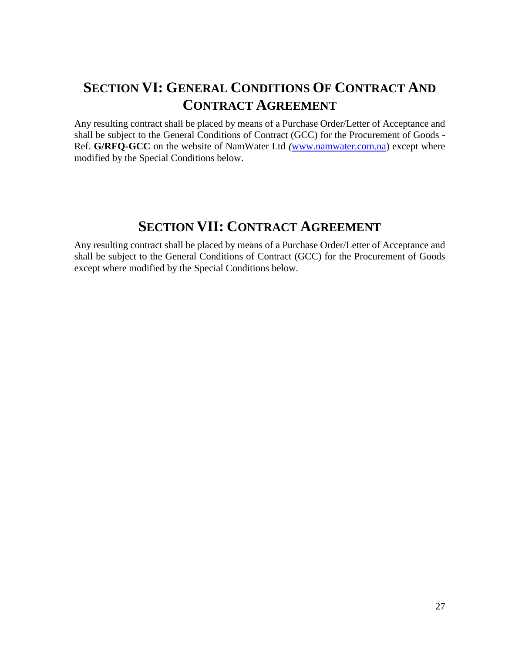## **SECTION VI: GENERAL CONDITIONS OF CONTRACT AND CONTRACT AGREEMENT**

Any resulting contract shall be placed by means of a Purchase Order/Letter of Acceptance and shall be subject to the General Conditions of Contract (GCC) for the Procurement of Goods - Ref. **G/RFQ-GCC** on the website of NamWater Ltd *(*[www.namwater.com.na\)](http://www.namwater.com.na/) except where modified by the Special Conditions below.

## **SECTION VII: CONTRACT AGREEMENT**

Any resulting contract shall be placed by means of a Purchase Order/Letter of Acceptance and shall be subject to the General Conditions of Contract (GCC) for the Procurement of Goods except where modified by the Special Conditions below.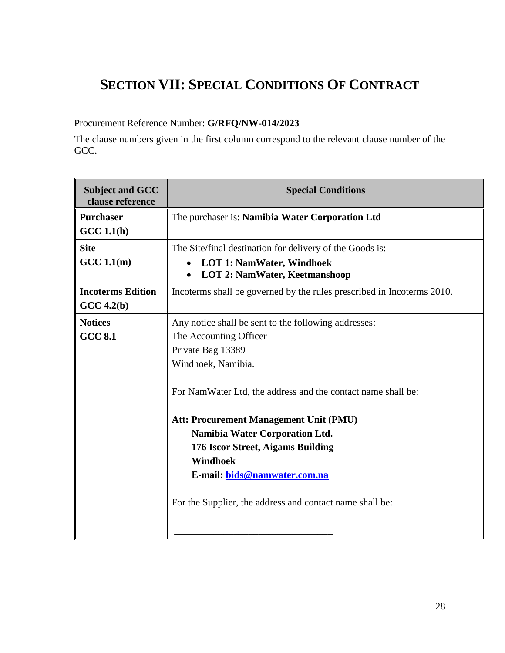## **SECTION VII: SPECIAL CONDITIONS OF CONTRACT**

## Procurement Reference Number: **G/RFQ/NW-014/2023**

The clause numbers given in the first column correspond to the relevant clause number of the GCC.

| <b>Subject and GCC</b><br>clause reference | <b>Special Conditions</b>                                                             |
|--------------------------------------------|---------------------------------------------------------------------------------------|
| <b>Purchaser</b>                           | The purchaser is: Namibia Water Corporation Ltd                                       |
| GCC 1.1(h)                                 |                                                                                       |
| <b>Site</b>                                | The Site/final destination for delivery of the Goods is:                              |
| GCC 1.1(m)                                 | <b>LOT 1: NamWater, Windhoek</b><br><b>LOT 2: NamWater, Keetmanshoop</b><br>$\bullet$ |
| <b>Incoterms Edition</b><br>$GCC\,4.2(b)$  | Incoterms shall be governed by the rules prescribed in Incoterms 2010.                |
| <b>Notices</b>                             | Any notice shall be sent to the following addresses:                                  |
| <b>GCC 8.1</b>                             | The Accounting Officer                                                                |
|                                            | Private Bag 13389                                                                     |
|                                            | Windhoek, Namibia.                                                                    |
|                                            | For NamWater Ltd, the address and the contact name shall be:                          |
|                                            | Att: Procurement Management Unit (PMU)                                                |
|                                            | <b>Namibia Water Corporation Ltd.</b>                                                 |
|                                            | 176 Iscor Street, Aigams Building                                                     |
|                                            | Windhoek                                                                              |
|                                            | E-mail: bids@namwater.com.na                                                          |
|                                            | For the Supplier, the address and contact name shall be:                              |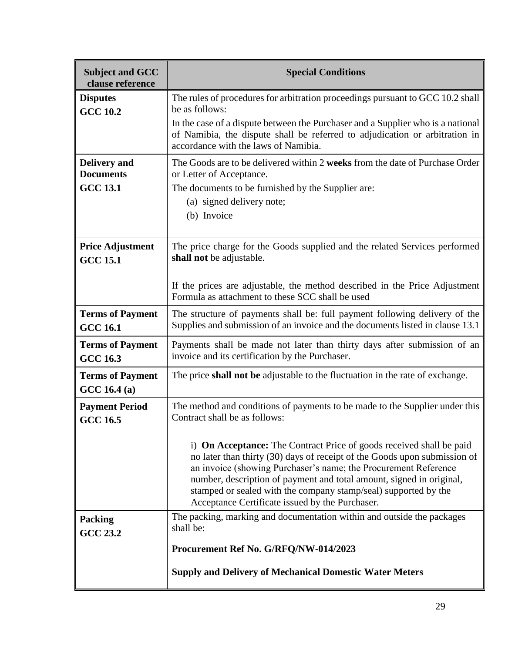| <b>Subject and GCC</b><br>clause reference | <b>Special Conditions</b>                                                                                                                                                                                                                                                                                                                                                                                                 |
|--------------------------------------------|---------------------------------------------------------------------------------------------------------------------------------------------------------------------------------------------------------------------------------------------------------------------------------------------------------------------------------------------------------------------------------------------------------------------------|
| <b>Disputes</b><br><b>GCC 10.2</b>         | The rules of procedures for arbitration proceedings pursuant to GCC 10.2 shall<br>be as follows:                                                                                                                                                                                                                                                                                                                          |
|                                            | In the case of a dispute between the Purchaser and a Supplier who is a national<br>of Namibia, the dispute shall be referred to adjudication or arbitration in<br>accordance with the laws of Namibia.                                                                                                                                                                                                                    |
| <b>Delivery</b> and<br><b>Documents</b>    | The Goods are to be delivered within 2 weeks from the date of Purchase Order<br>or Letter of Acceptance.                                                                                                                                                                                                                                                                                                                  |
| <b>GCC 13.1</b>                            | The documents to be furnished by the Supplier are:                                                                                                                                                                                                                                                                                                                                                                        |
|                                            | (a) signed delivery note;                                                                                                                                                                                                                                                                                                                                                                                                 |
|                                            | (b) Invoice                                                                                                                                                                                                                                                                                                                                                                                                               |
|                                            |                                                                                                                                                                                                                                                                                                                                                                                                                           |
| <b>Price Adjustment</b><br><b>GCC 15.1</b> | The price charge for the Goods supplied and the related Services performed<br>shall not be adjustable.                                                                                                                                                                                                                                                                                                                    |
|                                            | If the prices are adjustable, the method described in the Price Adjustment<br>Formula as attachment to these SCC shall be used                                                                                                                                                                                                                                                                                            |
| <b>Terms of Payment</b><br><b>GCC 16.1</b> | The structure of payments shall be: full payment following delivery of the<br>Supplies and submission of an invoice and the documents listed in clause 13.1                                                                                                                                                                                                                                                               |
| <b>Terms of Payment</b><br><b>GCC 16.3</b> | Payments shall be made not later than thirty days after submission of an<br>invoice and its certification by the Purchaser.                                                                                                                                                                                                                                                                                               |
| <b>Terms of Payment</b><br>GCC 16.4 (a)    | The price shall not be adjustable to the fluctuation in the rate of exchange.                                                                                                                                                                                                                                                                                                                                             |
| <b>Payment Period</b><br><b>GCC 16.5</b>   | The method and conditions of payments to be made to the Supplier under this<br>Contract shall be as follows:                                                                                                                                                                                                                                                                                                              |
|                                            | i) <b>On Acceptance:</b> The Contract Price of goods received shall be paid<br>no later than thirty (30) days of receipt of the Goods upon submission of<br>an invoice (showing Purchaser's name; the Procurement Reference<br>number, description of payment and total amount, signed in original,<br>stamped or sealed with the company stamp/seal) supported by the<br>Acceptance Certificate issued by the Purchaser. |
| <b>Packing</b>                             | The packing, marking and documentation within and outside the packages<br>shall be:                                                                                                                                                                                                                                                                                                                                       |
| <b>GCC 23.2</b>                            |                                                                                                                                                                                                                                                                                                                                                                                                                           |
|                                            | Procurement Ref No. G/RFQ/NW-014/2023                                                                                                                                                                                                                                                                                                                                                                                     |
|                                            | <b>Supply and Delivery of Mechanical Domestic Water Meters</b>                                                                                                                                                                                                                                                                                                                                                            |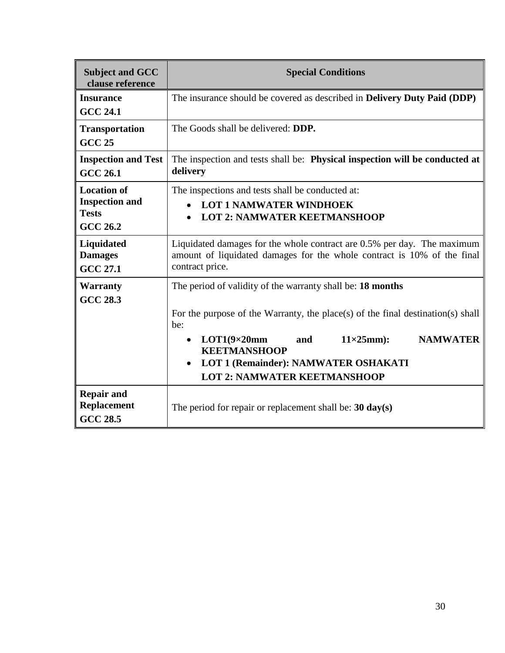| <b>Subject and GCC</b><br>clause reference                                     | <b>Special Conditions</b>                                                                                                                                                                                                                                                                                                                                         |  |
|--------------------------------------------------------------------------------|-------------------------------------------------------------------------------------------------------------------------------------------------------------------------------------------------------------------------------------------------------------------------------------------------------------------------------------------------------------------|--|
| <b>Insurance</b><br><b>GCC 24.1</b>                                            | The insurance should be covered as described in <b>Delivery Duty Paid (DDP)</b>                                                                                                                                                                                                                                                                                   |  |
| <b>Transportation</b><br><b>GCC 25</b>                                         | The Goods shall be delivered: <b>DDP</b> .                                                                                                                                                                                                                                                                                                                        |  |
| <b>Inspection and Test</b><br><b>GCC 26.1</b>                                  | The inspection and tests shall be: Physical inspection will be conducted at<br>delivery                                                                                                                                                                                                                                                                           |  |
| <b>Location of</b><br><b>Inspection and</b><br><b>Tests</b><br><b>GCC 26.2</b> | The inspections and tests shall be conducted at:<br><b>LOT 1 NAMWATER WINDHOEK</b><br><b>LOT 2: NAMWATER KEETMANSHOOP</b><br>$\bullet$                                                                                                                                                                                                                            |  |
| <b>Liquidated</b><br><b>Damages</b><br><b>GCC 27.1</b>                         | Liquidated damages for the whole contract are 0.5% per day. The maximum<br>amount of liquidated damages for the whole contract is 10% of the final<br>contract price.                                                                                                                                                                                             |  |
| <b>Warranty</b><br><b>GCC 28.3</b>                                             | The period of validity of the warranty shall be: 18 months<br>For the purpose of the Warranty, the place(s) of the final destination(s) shall<br>be:<br>$11\times25$ mm):<br><b>NAMWATER</b><br>$LOT1(9\times20mm)$<br>and<br>$\bullet$<br><b>KEETMANSHOOP</b><br><b>LOT 1 (Remainder): NAMWATER OSHAKATI</b><br>$\bullet$<br><b>LOT 2: NAMWATER KEETMANSHOOP</b> |  |
| <b>Repair and</b><br><b>Replacement</b><br><b>GCC 28.5</b>                     | The period for repair or replacement shall be: $30 \text{ day}(s)$                                                                                                                                                                                                                                                                                                |  |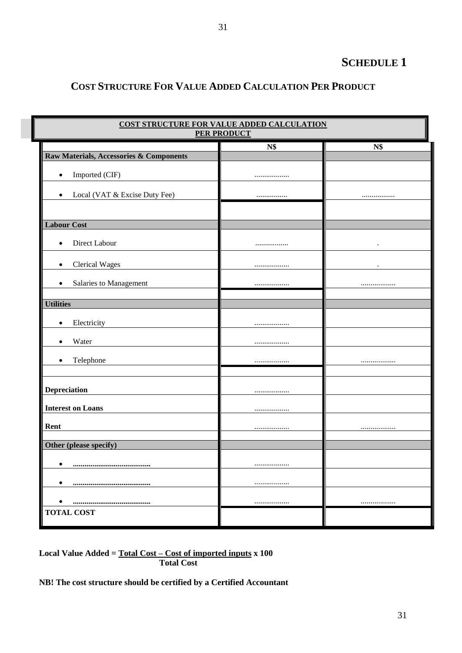## **SCHEDULE 1**

## **COST STRUCTURE FOR VALUE ADDED CALCULATION PER PRODUCT**

| COST STRUCTURE FOR VALUE ADDED CALCULATION<br><b>PER PRODUCT</b> |     |            |
|------------------------------------------------------------------|-----|------------|
|                                                                  | N\$ | <b>N\$</b> |
| <b>Raw Materials, Accessories &amp; Components</b>               |     |            |
| Imported (CIF)<br>$\bullet$                                      |     |            |
| Local (VAT & Excise Duty Fee)<br>$\bullet$                       |     |            |
|                                                                  |     |            |
| <b>Labour Cost</b>                                               |     |            |
| Direct Labour<br>$\bullet$                                       |     | $\bullet$  |
| <b>Clerical Wages</b><br>$\bullet$                               |     |            |
| Salaries to Management<br>$\bullet$                              |     |            |
| <b>Utilities</b>                                                 |     |            |
| Electricity<br>$\bullet$                                         |     |            |
| Water<br>$\bullet$                                               |     |            |
| Telephone<br>$\bullet$                                           |     |            |
|                                                                  |     |            |
| <b>Depreciation</b>                                              |     |            |
| <b>Interest on Loans</b>                                         |     |            |
|                                                                  |     |            |
| Rent                                                             |     |            |
| Other (please specify)                                           |     |            |
| ٠                                                                |     |            |
| $\bullet$                                                        |     |            |
|                                                                  |     |            |
| <br><b>TOTAL COST</b>                                            |     |            |

**Local Value Added = Total Cost – Cost of imported inputs x 100 Total Cost**

**NB! The cost structure should be certified by a Certified Accountant**